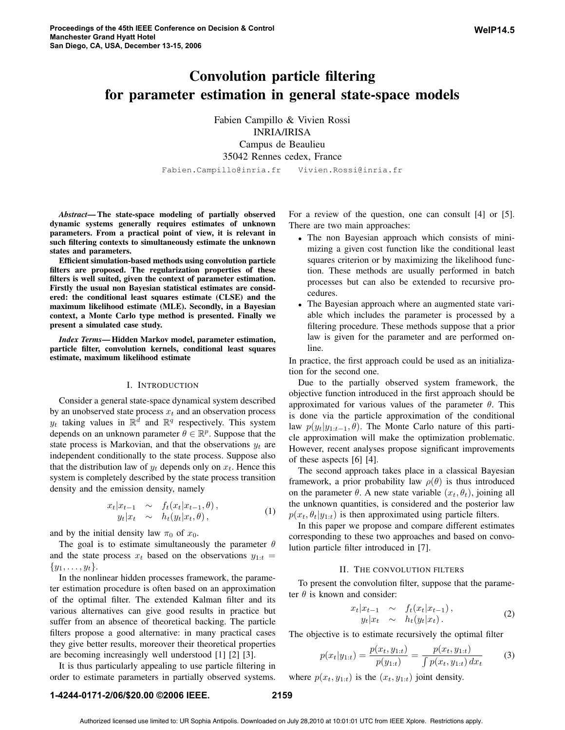# Convolution particle filtering for parameter estimation in general state-space models

Fabien Campillo & Vivien Rossi INRIA/IRISA Campus de Beaulieu 35042 Rennes cedex, France Fabien.Campillo@inria.fr Vivien.Rossi@inria.fr

*Abstract*— The state-space modeling of partially observed dynamic systems generally requires estimates of unknown parameters. From a practical point of view, it is relevant in such filtering contexts to simultaneously estimate the unknown states and parameters.

Efficient simulation-based methods using convolution particle filters are proposed. The regularization properties of these filters is well suited, given the context of parameter estimation. Firstly the usual non Bayesian statistical estimates are considered: the conditional least squares estimate (CLSE) and the maximum likelihood estimate (MLE). Secondly, in a Bayesian context, a Monte Carlo type method is presented. Finally we present a simulated case study.

*Index Terms*— Hidden Markov model, parameter estimation, particle filter, convolution kernels, conditional least squares estimate, maximum likelihood estimate

#### I. INTRODUCTION

Consider a general state-space dynamical system described by an unobserved state process  $x_t$  and an observation process  $y_t$  taking values in  $\mathbb{R}^d$  and  $\mathbb{R}^q$  respectively. This system depends on an unknown parameter  $\theta \in \mathbb{R}^p$ . Suppose that the state process is Markovian, and that the observations  $y_t$  are independent conditionally to the state process. Suppose also that the distribution law of  $y_t$  depends only on  $x_t$ . Hence this system is completely described by the state process transition density and the emission density, namely

$$
x_t | x_{t-1} \sim f_t(x_t | x_{t-1}, \theta),
$$
  
\n
$$
y_t | x_t \sim h_t(y_t | x_t, \theta),
$$
\n(1)

and by the initial density law  $\pi_0$  of  $x_0$ .

The goal is to estimate simultaneously the parameter  $\theta$ and the state process  $x_t$  based on the observations  $y_{1:t} =$  $\{y_1, \ldots, y_t\}.$ 

In the nonlinear hidden processes framework, the parameter estimation procedure is often based on an approximation of the optimal filter. The extended Kalman filter and its various alternatives can give good results in practice but suffer from an absence of theoretical backing. The particle filters propose a good alternative: in many practical cases they give better results, moreover their theoretical properties are becoming increasingly well understood [1] [2] [3].

It is thus particularly appealing to use particle filtering in order to estimate parameters in partially observed systems.

For a review of the question, one can consult [4] or [5]. There are two main approaches:

- The non Bayesian approach which consists of minimizing a given cost function like the conditional least squares criterion or by maximizing the likelihood function. These methods are usually performed in batch processes but can also be extended to recursive procedures.
- The Bayesian approach where an augmented state variable which includes the parameter is processed by a filtering procedure. These methods suppose that a prior law is given for the parameter and are performed online.

In practice, the first approach could be used as an initialization for the second one.

Due to the partially observed system framework, the objective function introduced in the first approach should be approximated for various values of the parameter  $\theta$ . This is done via the particle approximation of the conditional law  $p(y_t|y_{1:t-1}, \theta)$ . The Monte Carlo nature of this particle approximation will make the optimization problematic. However, recent analyses propose significant improvements of these aspects [6] [4].

The second approach takes place in a classical Bayesian framework, a prior probability law  $\rho(\theta)$  is thus introduced on the parameter  $\theta$ . A new state variable  $(x_t, \theta_t)$ , joining all the unknown quantities, is considered and the posterior law  $p(x_t, \theta_t|y_{1:t})$  is then approximated using particle filters.

In this paper we propose and compare different estimates corresponding to these two approaches and based on convolution particle filter introduced in [7].

#### II. THE CONVOLUTION FILTERS

To present the convolution filter, suppose that the parameter  $\theta$  is known and consider:

$$
x_t | x_{t-1} \sim f_t(x_t | x_{t-1}),
$$
  
\n
$$
y_t | x_t \sim h_t(y_t | x_t).
$$
\n(2)

The objective is to estimate recursively the optimal filter

$$
p(x_t|y_{1:t}) = \frac{p(x_t, y_{1:t})}{p(y_{1:t})} = \frac{p(x_t, y_{1:t})}{\int p(x_t, y_{1:t}) dx_t}
$$
(3)

where  $p(x_t, y_{1:t})$  is the  $(x_t, y_{1:t})$  joint density.

## **1-4244-0171-2/06/\$20.00 ©2006 IEEE. 2159**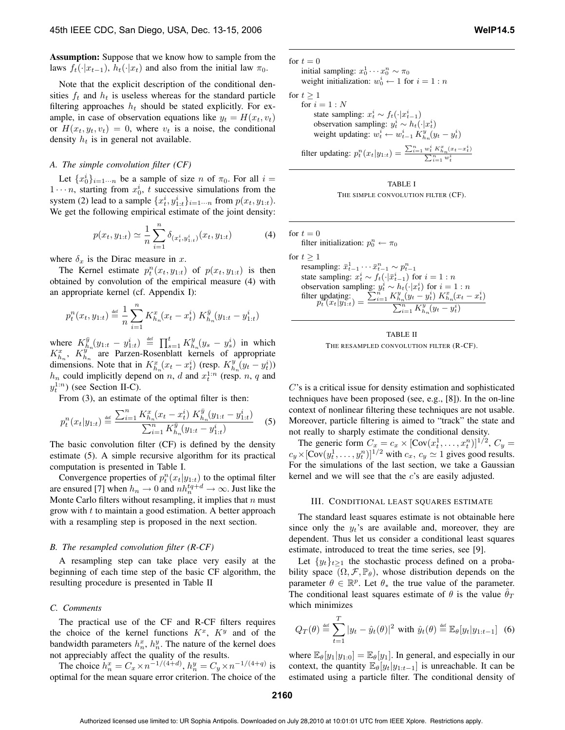Assumption: Suppose that we know how to sample from the laws  $f_t(\cdot|x_{t-1}), h_t(\cdot|x_t)$  and also from the initial law  $\pi_0$ .

Note that the explicit description of the conditional densities  $f_t$  and  $h_t$  is useless whereas for the standard particle filtering approaches  $h_t$  should be stated explicitly. For example, in case of observation equations like  $y_t = H(x_t, v_t)$ or  $H(x_t, y_t, v_t)=0$ , where  $v_t$  is a noise, the conditional density  $h_t$  is in general not available.

#### *A. The simple convolution filter (CF)*

Let  $\{x_0^i\}_{i=1\cdots n}$  be a sample of size n of  $\pi_0$ . For all  $i =$  $1 \cdots n$ , starting from  $x_0^i$ , t successive simulations from the system (2) lead to a sample  $\{x_t^i, y_{1:t}^i\}_{i=1\cdots n}$  from  $p(x_t, y_{1:t})$ . We get the following empirical estimate of the joint density:

$$
p(x_t, y_{1:t}) \simeq \frac{1}{n} \sum_{i=1}^{n} \delta_{(x_t^i, y_{1:t}^i)}(x_t, y_{1:t})
$$
 (4)

where  $\delta_x$  is the Dirac measure in x.

The Kernel estimate  $p_t^n(x_t, y_{1:t})$  of  $p(x_t, y_{1:t})$  is then obtained by convolution of the empirical measure (4) with an appropriate kernel (cf. Appendix I):

$$
p_t^n(x_t, y_{1:t}) \stackrel{\text{\tiny def}}{=} \frac{1}{n}\sum_{i=1}^n K_{h_n}^x(x_t - x_t^i) \; K_{h_n}^{\bar{y}}(y_{1:t} - y_{1:t}^i)
$$

where  $K_{h_n}^{\bar{y}}(y_{1:t} - y_{1:t}^i) \stackrel{\text{def}}{=} \prod_{s=1}^t K_{h_n}^y(y_s - y_s^i)$  in which  $K_{h_n}^x$ ,  $K_{h_n}^{y^{n}}$  are Parzen-Rosenblatt kernels of appropriate dimensions. Note that in  $K_{h_n}^x(x_t - x_t^i)$  (resp.  $K_{h_n}^y(y_t - y_t^i)$ )  $h_n$  could implicitly depend on n, d and  $x_t^{1:n}$  (resp. n, q and  $y_t^{1:n}$  (see Section II-C).

From (3), an estimate of the optimal filter is then:

$$
p_t^n(x_t|y_{1:t}) \stackrel{\text{def}}{=} \frac{\sum_{i=1}^n K_{h_n}^x(x_t - x_t^i) K_{h_n}^{\bar{y}}(y_{1:t} - y_{1:t}^i)}{\sum_{i=1}^n K_{h_n}^{\bar{y}}(y_{1:t} - y_{1:t}^i)}
$$
(5)

The basic convolution filter (CF) is defined by the density estimate (5). A simple recursive algorithm for its practical computation is presented in Table I.

Convergence properties of  $p_t^n(x_t|y_{1:t})$  to the optimal filter are ensured [7] when  $h_n \to 0$  and  $nh_n^{tq+d} \to \infty$ . Just like the Monte Carlo filters without resampling, it implies that  $n$  must grow with  $t$  to maintain a good estimation. A better approach with a resampling step is proposed in the next section.

## *B. The resampled convolution filter (R-CF)*

A resampling step can take place very easily at the beginning of each time step of the basic CF algorithm, the resulting procedure is presented in Table II

# *C. Comments*

The practical use of the CF and R-CF filters requires the choice of the kernel functions  $K^x$ ,  $K^y$  and of the bandwidth parameters  $h_n^x$ ,  $h_n^y$ . The nature of the kernel does not appreciably affect the quality of the results.

The choice  $h_n^x = C_x \times n^{-1/(4+d)}$ ,  $h_n^y = C_y \times n^{-1/(4+q)}$  is optimal for the mean square error criterion. The choice of the for  $t = 0$ initial sampling:  $x_0^1 \cdots x_0^n \sim \pi_0$ weight initialization:  $w_0^i \leftarrow 1$  for  $i = 1:n$ for  $t \geq 1$ for  $i = 1:N$ state sampling:  $x_t^i \sim f_t(\cdot | x_{t-1}^i)$ observation sampling:  $y_t^i \sim h_t(\cdot | x_t^i)$ weight updating:  $w_t^i \leftarrow w_{t-1}^i K_{h_n}^y(y_t - y_t^i)$ filter updating:  $p_t^n(x_t|y_{1:t}) = \frac{\sum_{i=1}^n w_t^i K_{n_n}^n(x_t - x_t^i)}{\sum_{i=1}^n w_t^i}$ 



for  $t = 0$ filter initialization:  $p_0^n \leftarrow \pi_0$ for  $t \geq 1$ resampling:  $\bar{x}_{t-1}^1 \cdots \bar{x}_{t-1}^n \sim p_{t-1}^n$ state sampling:  $x_t^i \sim f_t(\cdot|\bar{x}_{t-1}^i)$  for  $i = 1:n$ observation sampling:  $y_t^i \sim h_t(\cdot|x_t^i)$  for  $i = 1:n$ filter updating:<br> $p_t^{\text{right}}(x_t|y_{1:t}) =$  $\sum_{i=1}^{n} K_{h_n}^y(y_t - y_t^i) K_{h_n}^x(x_t - x_t^i)$  $\sum_{i=1}^{n} K_{h_n}^y(y_t - y_t^i)$ 



C's is a critical issue for density estimation and sophisticated techniques have been proposed (see, e.g., [8]). In the on-line context of nonlinear filtering these techniques are not usable. Moreover, particle filtering is aimed to "track" the state and not really to sharply estimate the conditional density.

The generic form  $C_x = c_x \times [\text{Cov}(x_t^1, ..., x_t^n)]^{1/2}, C_y =$  $c_y \times [\text{Cov}(y_t^1, \dots, y_t^n)]^{1/2}$  with  $c_x, c_y \simeq 1$  gives good results. For the simulations of the last section, we take a Gaussian kernel and we will see that the c's are easily adjusted.

#### III. CONDITIONAL LEAST SQUARES ESTIMATE

The standard least squares estimate is not obtainable here since only the  $y_t$ 's are available and, moreover, they are dependent. Thus let us consider a conditional least squares estimate, introduced to treat the time series, see [9].

Let  $\{y_t\}_{t>1}$  the stochastic process defined on a probability space  $(\Omega, \mathcal{F}, \mathbb{P}_{\theta})$ , whose distribution depends on the parameter  $\theta \in \mathbb{R}^p$ . Let  $\theta_*$  the true value of the parameter. The conditional least squares estimate of  $\theta$  is the value  $\hat{\theta}_T$ which minimizes

$$
Q_T(\theta) \stackrel{\text{def}}{=} \sum_{t=1}^T |y_t - \hat{y}_t(\theta)|^2 \text{ with } \hat{y}_t(\theta) \stackrel{\text{def}}{=} \mathbb{E}_{\theta}[y_t|y_{1:t-1}] \tag{6}
$$

where  $\mathbb{E}_{\theta}[y_1|y_{1:0}] = \mathbb{E}_{\theta}[y_1]$ . In general, and especially in our context, the quantity  $\mathbb{E}_{\theta}[y_t|y_{1:t-1}]$  is unreachable. It can be estimated using a particle filter. The conditional density of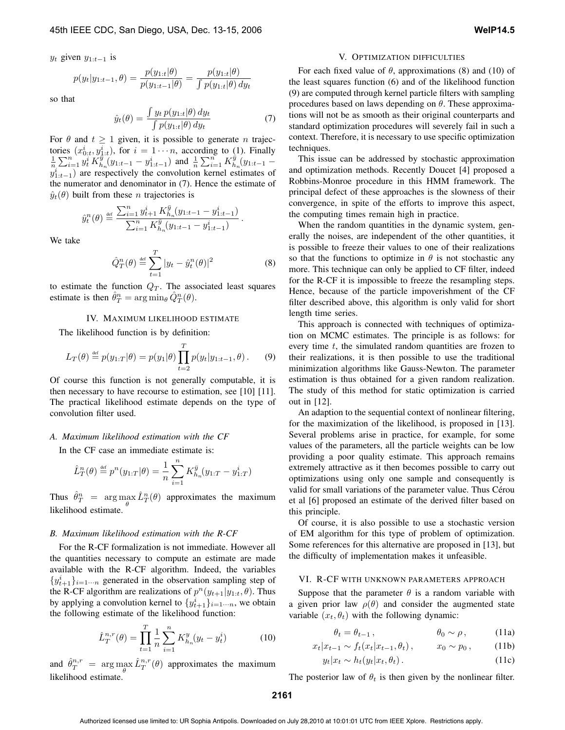$y_t$  given  $y_{1:t-1}$  is

$$
p(y_t|y_{1:t-1}, \theta) = \frac{p(y_{1:t}|\theta)}{p(y_{1:t-1}|\theta)} = \frac{p(y_{1:t}|\theta)}{\int p(y_{1:t}|\theta) \, dy_t}
$$

so that

$$
\hat{y}_t(\theta) = \frac{\int y_t \, p(y_{1:t}|\theta) \, dy_t}{\int p(y_{1:t}|\theta) \, dy_t} \tag{7}
$$

For  $\theta$  and  $t \geq 1$  given, it is possible to generate *n* trajectories  $(x_{0:t}^i, y_{\frac{1}{i}:t}^i)$ , for  $i = 1 \cdots n$ , according to (1). Finally  $\frac{1}{n}\sum_{i=1}^{n} y_t^i K_{h_n}^{\bar{y}}(y_{1:t-1} - y_{1:t-1}^i)$  and  $\frac{1}{n}\sum_{i=1}^{n} K_{h_n}^{\bar{y}}(y_{1:t-1} - y_{1:t-1}^i)$  $y_{1:t-1}^i$ ) are respectively the convolution kernel estimates of the numerator and denominator in (7). Hence the estimate of  $\hat{y}_t(\theta)$  built from these *n* trajectories is

$$
\hat{y}_{t}^{n}(\theta) \stackrel{\text{def}}{=} \frac{\sum_{i=1}^{n} y_{t+1}^{i} K_{h_n}^{\bar{y}}(y_{1:t-1} - y_{1:t-1}^{i})}{\sum_{i=1}^{n} K_{h_n}^{\bar{y}}(y_{1:t-1} - y_{1:t-1}^{i})}.
$$

We take

$$
\hat{Q}_T^n(\theta) \stackrel{\text{def}}{=} \sum_{t=1}^T |y_t - \hat{y}_t^n(\theta)|^2
$$
 (8)

to estimate the function  $Q_T$ . The associated least squares estimate is then  $\hat{\theta}_T^n = \arg \min_{\theta} \hat{Q}_T^n(\theta)$ .

## IV. MAXIMUM LIKELIHOOD ESTIMATE

The likelihood function is by definition:

$$
L_T(\theta) \stackrel{\text{def}}{=} p(y_{1:T}|\theta) = p(y_1|\theta) \prod_{t=2}^T p(y_t|y_{1:t-1}, \theta).
$$
 (9)

Of course this function is not generally computable, it is then necessary to have recourse to estimation, see [10] [11]. The practical likelihood estimate depends on the type of convolution filter used.

#### *A. Maximum likelihood estimation with the CF*

In the CF case an immediate estimate is:

$$
\hat{L}_T^n(\theta) \stackrel{\text{\tiny def}}{=} p^n(y_{1:T}|\theta) = \frac{1}{n} \sum_{i=1}^n K_{h_n}^{\bar{y}}(y_{1:T} - y_{1:T}^i)
$$

Thus  $\hat{\theta}_T^n = \arg \max_{\theta} \hat{L}_T^n(\theta)$  approximates the maximum likelihood estimate.

#### *B. Maximum likelihood estimation with the R-CF*

For the R-CF formalization is not immediate. However all the quantities necessary to compute an estimate are made available with the R-CF algorithm. Indeed, the variables  $\{y_{t+1}^i\}_{i=1\cdots n}$  generated in the observation sampling step of the R-CF algorithm are realizations of  $p^{n}(y_{t+1}|y_{1:t}, \theta)$ . Thus by applying a convolution kernel to  $\{y_{t+1}^i\}_{i=1\cdots n}$ , we obtain the following estimate of the likelihood function:

$$
\hat{L}_T^{n,r}(\theta) = \prod_{t=1}^T \frac{1}{n} \sum_{i=1}^n K_{h_n}^y(y_t - y_t^i)
$$
 (10)

and  $\hat{\theta}_T^{n,r} = \arg \max_{\theta} \hat{L}_T^{n,r}(\theta)$  approximates the maximum likelihood estimate.

#### V. OPTIMIZATION DIFFICULTIES

For each fixed value of  $\theta$ , approximations (8) and (10) of the least squares function (6) and of the likelihood function (9) are computed through kernel particle filters with sampling procedures based on laws depending on  $\theta$ . These approximations will not be as smooth as their original counterparts and standard optimization procedures will severely fail in such a context. Therefore, it is necessary to use specific optimization techniques.

This issue can be addressed by stochastic approximation and optimization methods. Recently Doucet [4] proposed a Robbins-Monroe procedure in this HMM framework. The principal defect of these approaches is the slowness of their convergence, in spite of the efforts to improve this aspect, the computing times remain high in practice.

When the random quantities in the dynamic system, generally the noises, are independent of the other quantities, it is possible to freeze their values to one of their realizations so that the functions to optimize in  $\theta$  is not stochastic any more. This technique can only be applied to CF filter, indeed for the R-CF it is impossible to freeze the resampling steps. Hence, because of the particle impoverishment of the CF filter described above, this algorithm is only valid for short length time series.

This approach is connected with techniques of optimization on MCMC estimates. The principle is as follows: for every time  $t$ , the simulated random quantities are frozen to their realizations, it is then possible to use the traditional minimization algorithms like Gauss-Newton. The parameter estimation is thus obtained for a given random realization. The study of this method for static optimization is carried out in [12].

An adaption to the sequential context of nonlinear filtering, for the maximization of the likelihood, is proposed in [13]. Several problems arise in practice, for example, for some values of the parameters, all the particle weights can be low providing a poor quality estimate. This approach remains extremely attractive as it then becomes possible to carry out optimizations using only one sample and consequently is valid for small variations of the parameter value. Thus Cérou et al [6] proposed an estimate of the derived filter based on this principle.

Of course, it is also possible to use a stochastic version of EM algorithm for this type of problem of optimization. Some references for this alternative are proposed in [13], but the difficulty of implementation makes it unfeasible.

#### VI. R-CF WITH UNKNOWN PARAMETERS APPROACH

Suppose that the parameter  $\theta$  is a random variable with a given prior law  $\rho(\theta)$  and consider the augmented state variable  $(x_t, \theta_t)$  with the following dynamic:

$$
\theta_t = \theta_{t-1}, \qquad \theta_0 \sim \rho, \qquad (11a)
$$

$$
x_t | x_{t-1} \sim f_t(x_t | x_{t-1}, \theta_t), \qquad x_0 \sim p_0,
$$
 (11b)

$$
y_t | x_t \sim h_t(y_t | x_t, \theta_t). \tag{11c}
$$

The posterior law of  $\theta_t$  is then given by the nonlinear filter.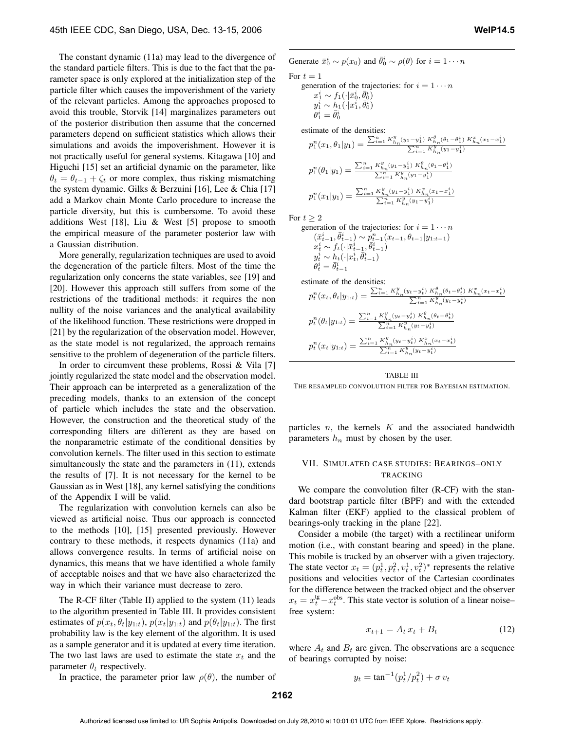The constant dynamic (11a) may lead to the divergence of the standard particle filters. This is due to the fact that the parameter space is only explored at the initialization step of the particle filter which causes the impoverishment of the variety of the relevant particles. Among the approaches proposed to avoid this trouble, Storvik [14] marginalizes parameters out of the posterior distribution then assume that the concerned parameters depend on sufficient statistics which allows their simulations and avoids the impoverishment. However it is not practically useful for general systems. Kitagawa [10] and Higuchi [15] set an artificial dynamic on the parameter, like  $\theta_t = \theta_{t-1} + \zeta_t$  or more complex, thus risking mismatching the system dynamic. Gilks & Berzuini [16], Lee & Chia [17] add a Markov chain Monte Carlo procedure to increase the particle diversity, but this is cumbersome. To avoid these additions West [18], Liu & West [5] propose to smooth the empirical measure of the parameter posterior law with a Gaussian distribution.

More generally, regularization techniques are used to avoid the degeneration of the particle filters. Most of the time the regularization only concerns the state variables, see [19] and [20]. However this approach still suffers from some of the restrictions of the traditional methods: it requires the non nullity of the noise variances and the analytical availability of the likelihood function. These restrictions were dropped in [21] by the regularization of the observation model. However, as the state model is not regularized, the approach remains sensitive to the problem of degeneration of the particle filters.

In order to circumvent these problems, Rossi & Vila [7] jointly regularized the state model and the observation model. Their approach can be interpreted as a generalization of the preceding models, thanks to an extension of the concept of particle which includes the state and the observation. However, the construction and the theoretical study of the corresponding filters are different as they are based on the nonparametric estimate of the conditional densities by convolution kernels. The filter used in this section to estimate simultaneously the state and the parameters in  $(11)$ , extends the results of [7]. It is not necessary for the kernel to be Gaussian as in West [18], any kernel satisfying the conditions of the Appendix I will be valid.

The regularization with convolution kernels can also be viewed as artificial noise. Thus our approach is connected to the methods [10], [15] presented previously. However contrary to these methods, it respects dynamics (11a) and allows convergence results. In terms of artificial noise on dynamics, this means that we have identified a whole family of acceptable noises and that we have also characterized the way in which their variance must decrease to zero.

The R-CF filter (Table II) applied to the system (11) leads to the algorithm presented in Table III. It provides consistent estimates of  $p(x_t, \theta_t|y_{1:t})$ ,  $p(x_t|y_{1:t})$  and  $p(\theta_t|y_{1:t})$ . The first probability law is the key element of the algorithm. It is used as a sample generator and it is updated at every time iteration. The two last laws are used to estimate the state  $x_t$  and the parameter  $\theta_t$  respectively.

In practice, the parameter prior law  $\rho(\theta)$ , the number of

Generate  $\bar{x}_0^i \sim p(x_0)$  and  $\bar{\theta}_0^i \sim \rho(\theta)$  for  $i = 1 \cdots n$ For  $t = 1$ 

generation of the trajectories: for 
$$
i = 1 \cdots n
$$
  
\n $x_1^i \sim f_1(\cdot | \bar{x}_0^i, \bar{\theta}_0^i)$   
\n $y_1^i \sim h_1(\cdot | x_1^i, \bar{\theta}_0^i)$   
\n $\theta_1^i = \bar{\theta}_0^i$ 

estimate of the densities:

$$
p_1^n(x_1, \theta_1 | y_1) = \frac{\sum_{i=1}^n K_{h_n}^y(y_1 - y_1^i) K_{h_n}^{\theta}(\theta_1 - \theta_1^i) K_{h_n}^x(x_1 - x_1^i)}{\sum_{i=1}^n K_{h_n}^y(y_1 - y_1^i)}
$$

$$
p_1^n(\theta_1 | y_1) = \frac{\sum_{i=1}^n K_{h_n}^y(y_1 - y_1^i) K_{h_n}^{\theta}(\theta_1 - \theta_1^i)}{\sum_{i=1}^n K_{h_n}^y(y_1 - y_1^i)}
$$

$$
p_1^n(x_1 | y_1) = \frac{\sum_{i=1}^n K_{h_n}^y(y_1 - y_1^i) K_{h_n}^x(x_1 - x_1^i)}{\sum_{i=1}^n K_{h_n}^y(y_1 - y_1^i)}
$$

For  $t \geq 2$ <br>genera

generation of the trajectories: for 
$$
i = 1 \cdots n
$$
  
\n $(\bar{x}_{t-1}^i, \bar{\theta}_{t-1}^i) \sim p_{t-1}^n(x_{t-1}, \theta_{t-1}|y_{1:t-1})$   
\n $x_t^i \sim f_t(\cdot|\bar{x}_{t-1}^i, \bar{\theta}_{t-1}^i)$   
\n $y_t^i \sim h_t(\cdot|x_t^i, \bar{\theta}_{t-1}^i)$   
\n $\theta_t^i = \bar{\theta}_{t-1}^i$ 

estimate of the densities:

$$
p_t^n(x_t, \theta_t | y_{1:t}) = \frac{\sum_{i=1}^n K_{h_n}^y(y_t - y_t^i) K_{h_n}^\theta(\theta_t - \theta_t^i) K_{h_n}^x(x_t - x_t^i)}{\sum_{i=1}^n K_{h_n}^y(y_t - y_t^i)}
$$

$$
p_t^n(\theta_t | y_{1:t}) = \frac{\sum_{i=1}^n K_{h_n}^y(y_t - y_t^i) K_{h_n}^\theta(\theta_t - \theta_t^i)}{\sum_{i=1}^n K_{h_n}^y(y_t - y_t^i)}
$$

$$
p_t^n(x_t | y_{1:t}) = \frac{\sum_{i=1}^n K_{h_n}^y(y_t - y_t^i) K_{h_n}^x(x_t - x_t^i)}{\sum_{i=1}^n K_{h_n}^y(y_t - y_t^i)}
$$

# TABLE III THE RESAMPLED CONVOLUTION FILTER FOR BAYESIAN ESTIMATION.

particles  $n$ , the kernels  $K$  and the associated bandwidth parameters  $h_n$  must by chosen by the user.

# VII. SIMULATED CASE STUDIES: BEARINGS–ONLY TRACKING

We compare the convolution filter (R-CF) with the standard bootstrap particle filter (BPF) and with the extended Kalman filter (EKF) applied to the classical problem of bearings-only tracking in the plane [22].

Consider a mobile (the target) with a rectilinear uniform motion (i.e., with constant bearing and speed) in the plane. This mobile is tracked by an observer with a given trajectory. The state vector  $x_t = (p_t^1, p_t^2, v_t^1, v_t^2)^*$  represents the relative positions and velocities vector of the Cartesian coordinates for the difference between the tracked object and the observer  $x_t = x_t^{\text{tg}} - x_t^{\text{obs}}$ . This state vector is solution of a linear noise– free system:

$$
x_{t+1} = A_t x_t + B_t \tag{12}
$$

where  $A_t$  and  $B_t$  are given. The observations are a sequence of bearings corrupted by noise:

 $y_t = \tan^{-1}(p_t^1/p_t^2) + \sigma v_t$ 

$$
f_{\rm{max}}
$$

**2162**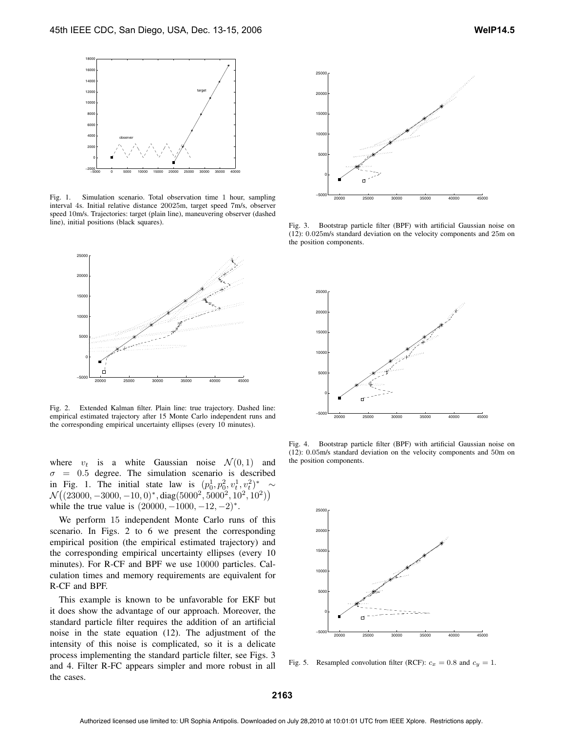

Fig. 1. Simulation scenario. Total observation time 1 hour, sampling interval 4s. Initial relative distance 20025m, target speed 7m/s, observer speed 10m/s. Trajectories: target (plain line), maneuvering observer (dashed line), initial positions (black squares).



Fig. 2. Extended Kalman filter. Plain line: true trajectory. Dashed line: empirical estimated trajectory after 15 Monte Carlo independent runs and the corresponding empirical uncertainty ellipses (every 10 minutes).

where  $v_t$  is a white Gaussian noise  $\mathcal{N}(0, 1)$  and  $\sigma = 0.5$  degree. The simulation scenario is described in Fig. 1. The initial state law is  $(p_0^1, p_0^2, v_t^1, v_t^2)^* \sim$  $\mathcal{N}\big((23000,-3000,-10,0)^\ast, \mathrm{diag}(5000^2,5000^2,10^2,10^2)\big)$ while the true value is  $(20000, -1000, -12, -2)^*$ .

We perform 15 independent Monte Carlo runs of this scenario. In Figs. 2 to 6 we present the corresponding empirical position (the empirical estimated trajectory) and the corresponding empirical uncertainty ellipses (every 10 minutes). For R-CF and BPF we use 10000 particles. Calculation times and memory requirements are equivalent for R-CF and BPF.

This example is known to be unfavorable for EKF but it does show the advantage of our approach. Moreover, the standard particle filter requires the addition of an artificial noise in the state equation (12). The adjustment of the intensity of this noise is complicated, so it is a delicate process implementing the standard particle filter, see Figs. 3 and 4. Filter R-FC appears simpler and more robust in all the cases.



Fig. 3. Bootstrap particle filter (BPF) with artificial Gaussian noise on (12): 0.025m/s standard deviation on the velocity components and 25m on the position components.



Fig. 4. Bootstrap particle filter (BPF) with artificial Gaussian noise on (12): 0.05m/s standard deviation on the velocity components and 50m on the position components.



Fig. 5. Resampled convolution filter (RCF):  $c_x = 0.8$  and  $c_y = 1$ .

**2163**